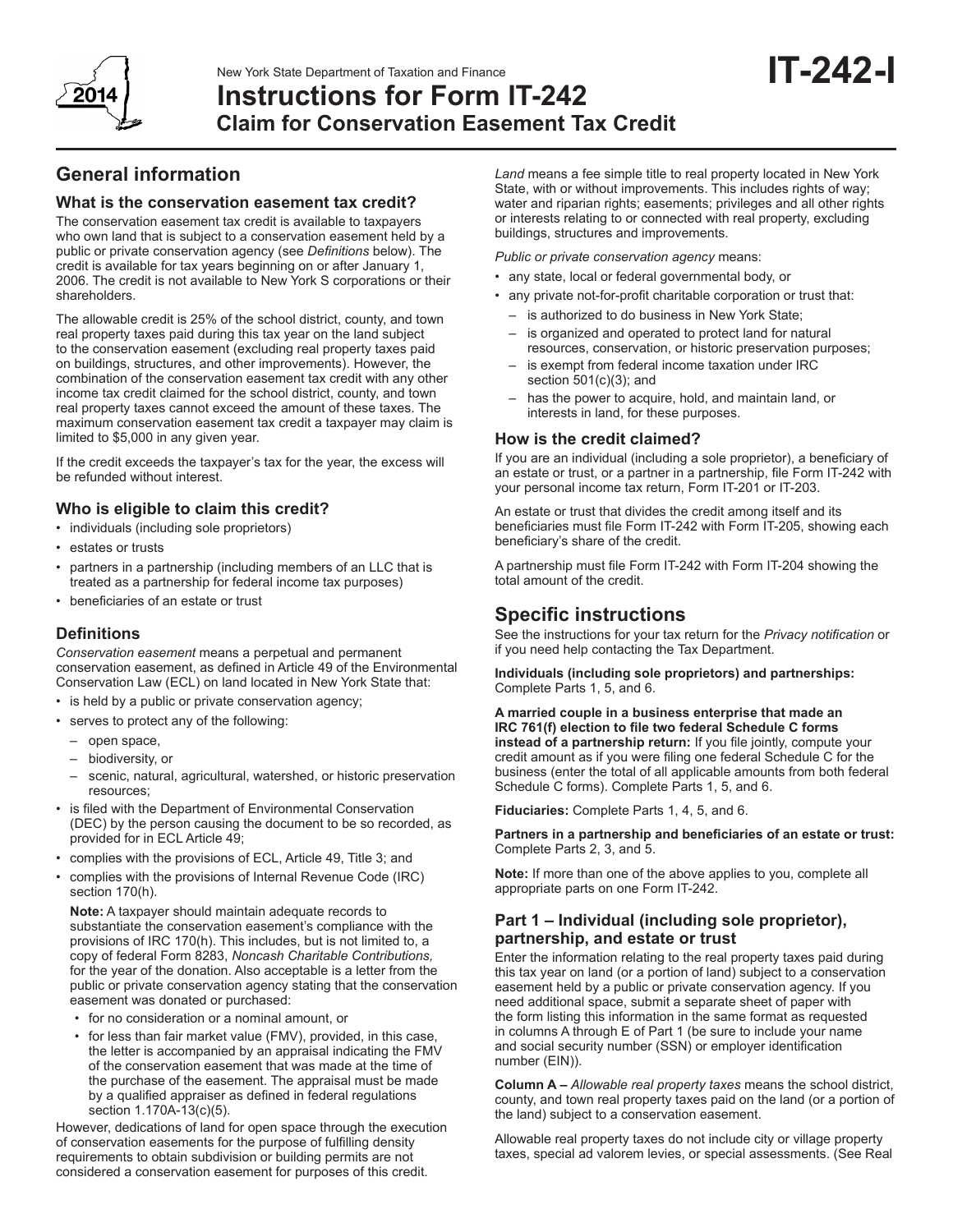

### New York State Department of Taxation and Finance

**Instructions for Form IT-242 Claim for Conservation Easement Tax Credit**

# **General information**

### **What is the conservation easement tax credit?**

The conservation easement tax credit is available to taxpayers who own land that is subject to a conservation easement held by a public or private conservation agency (see *Definitions* below). The credit is available for tax years beginning on or after January 1, 2006. The credit is not available to New York S corporations or their shareholders.

The allowable credit is 25% of the school district, county, and town real property taxes paid during this tax year on the land subject to the conservation easement (excluding real property taxes paid on buildings, structures, and other improvements). However, the combination of the conservation easement tax credit with any other income tax credit claimed for the school district, county, and town real property taxes cannot exceed the amount of these taxes. The maximum conservation easement tax credit a taxpayer may claim is limited to \$5,000 in any given year.

If the credit exceeds the taxpayer's tax for the year, the excess will be refunded without interest.

### **Who is eligible to claim this credit?**

- • individuals (including sole proprietors)
- • estates or trusts
- partners in a partnership (including members of an LLC that is treated as a partnership for federal income tax purposes)
- • beneficiaries of an estate or trust

### **Definitions**

*Conservation easement* means a perpetual and permanent conservation easement, as defined in Article 49 of the Environmental Conservation Law (ECL) on land located in New York State that:

- is held by a public or private conservation agency;
- serves to protect any of the following:
	- open space,
	- biodiversity, or
	- scenic, natural, agricultural, watershed, or historic preservation resources;
- is filed with the Department of Environmental Conservation (DEC) by the person causing the document to be so recorded, as provided for in ECL Article 49;
- • complies with the provisions of ECL, Article 49, Title 3; and
- complies with the provisions of Internal Revenue Code (IRC) section 170(h).

**Note:** A taxpayer should maintain adequate records to substantiate the conservation easement's compliance with the provisions of IRC 170(h). This includes, but is not limited to, a copy of federal Form 8283, *Noncash Charitable Contributions,* for the year of the donation. Also acceptable is a letter from the public or private conservation agency stating that the conservation easement was donated or purchased:

- • for no consideration or a nominal amount, or
- for less than fair market value (FMV), provided, in this case, the letter is accompanied by an appraisal indicating the FMV of the conservation easement that was made at the time of the purchase of the easement. The appraisal must be made by a qualified appraiser as defined in federal regulations section 1.170A-13(c)(5).

However, dedications of land for open space through the execution of conservation easements for the purpose of fulfilling density requirements to obtain subdivision or building permits are not considered a conservation easement for purposes of this credit.

*Land* means a fee simple title to real property located in New York State, with or without improvements. This includes rights of way; water and riparian rights; easements; privileges and all other rights or interests relating to or connected with real property, excluding buildings, structures and improvements.

**IT-242-I**

*Public or private conservation agency* means:

- any state, local or federal governmental body, or
- any private not-for-profit charitable corporation or trust that:
	- is authorized to do business in New York State;
	- is organized and operated to protect land for natural resources, conservation, or historic preservation purposes;
	- – is exempt from federal income taxation under IRC section  $501(c)(3)$ ; and
	- has the power to acquire, hold, and maintain land, or interests in land, for these purposes.

#### **How is the credit claimed?**

If you are an individual (including a sole proprietor), a beneficiary of an estate or trust, or a partner in a partnership, file Form IT-242 with your personal income tax return, Form IT-201 or IT-203.

An estate or trust that divides the credit among itself and its beneficiaries must file Form IT-242 with Form IT-205, showing each beneficiary's share of the credit.

A partnership must file Form IT-242 with Form IT-204 showing the total amount of the credit.

## **Specific instructions**

See the instructions for your tax return for the *Privacy notification* or if you need help contacting the Tax Department.

**Individuals (including sole proprietors) and partnerships:**  Complete Parts 1, 5, and 6.

**A married couple in a business enterprise that made an IRC 761(f) election to file two federal Schedule C forms instead of a partnership return:** If you file jointly, compute your credit amount as if you were filing one federal Schedule C for the business (enter the total of all applicable amounts from both federal Schedule C forms). Complete Parts 1, 5, and 6.

**Fiduciaries:** Complete Parts 1, 4, 5, and 6.

**Partners in a partnership and beneficiaries of an estate or trust:**  Complete Parts 2, 3, and 5.

**Note:** If more than one of the above applies to you, complete all appropriate parts on one Form IT-242.

### **Part 1 – Individual (including sole proprietor), partnership, and estate or trust**

Enter the information relating to the real property taxes paid during this tax year on land (or a portion of land) subject to a conservation easement held by a public or private conservation agency. If you need additional space, submit a separate sheet of paper with the form listing this information in the same format as requested in columns A through E of Part 1 (be sure to include your name and social security number (SSN) or employer identification number (EIN)).

**Column A –** *Allowable real property taxes* means the school district, county, and town real property taxes paid on the land (or a portion of the land) subject to a conservation easement.

Allowable real property taxes do not include city or village property taxes, special ad valorem levies, or special assessments. (See Real